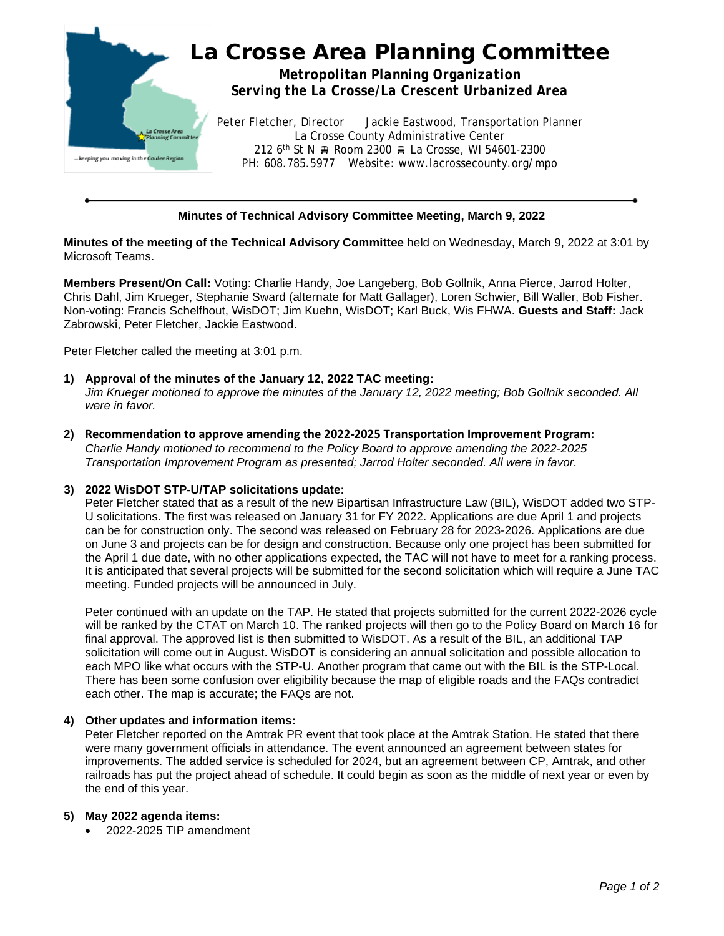

## **Minutes of Technical Advisory Committee Meeting, March 9, 2022**

**Minutes of the meeting of the Technical Advisory Committee** held on Wednesday, March 9, 2022 at 3:01 by Microsoft Teams.

**Members Present/On Call:** Voting: Charlie Handy, Joe Langeberg, Bob Gollnik, Anna Pierce, Jarrod Holter, Chris Dahl, Jim Krueger, Stephanie Sward (alternate for Matt Gallager), Loren Schwier, Bill Waller, Bob Fisher. Non-voting: Francis Schelfhout, WisDOT; Jim Kuehn, WisDOT; Karl Buck, Wis FHWA. **Guests and Staff:** Jack Zabrowski, Peter Fletcher, Jackie Eastwood.

Peter Fletcher called the meeting at 3:01 p.m.

- **1) Approval of the minutes of the January 12, 2022 TAC meeting:** *Jim Krueger motioned to approve the minutes of the January 12, 2022 meeting; Bob Gollnik seconded. All were in favor.*
- **2) Recommendation to approve amending the 2022-2025 Transportation Improvement Program:** *Charlie Handy motioned to recommend to the Policy Board to approve amending the 2022-2025 Transportation Improvement Program as presented; Jarrod Holter seconded. All were in favor.*

### **3) 2022 WisDOT STP-U/TAP solicitations update:**

Peter Fletcher stated that as a result of the new Bipartisan Infrastructure Law (BIL), WisDOT added two STP-U solicitations. The first was released on January 31 for FY 2022. Applications are due April 1 and projects can be for construction only. The second was released on February 28 for 2023-2026. Applications are due on June 3 and projects can be for design and construction. Because only one project has been submitted for the April 1 due date, with no other applications expected, the TAC will not have to meet for a ranking process. It is anticipated that several projects will be submitted for the second solicitation which will require a June TAC meeting. Funded projects will be announced in July.

Peter continued with an update on the TAP. He stated that projects submitted for the current 2022-2026 cycle will be ranked by the CTAT on March 10. The ranked projects will then go to the Policy Board on March 16 for final approval. The approved list is then submitted to WisDOT. As a result of the BIL, an additional TAP solicitation will come out in August. WisDOT is considering an annual solicitation and possible allocation to each MPO like what occurs with the STP-U. Another program that came out with the BIL is the STP-Local. There has been some confusion over eligibility because the map of eligible roads and the FAQs contradict each other. The map is accurate; the FAQs are not.

#### **4) Other updates and information items:**

Peter Fletcher reported on the Amtrak PR event that took place at the Amtrak Station. He stated that there were many government officials in attendance. The event announced an agreement between states for improvements. The added service is scheduled for 2024, but an agreement between CP, Amtrak, and other railroads has put the project ahead of schedule. It could begin as soon as the middle of next year or even by the end of this year.

#### **5) May 2022 agenda items:**

• 2022-2025 TIP amendment